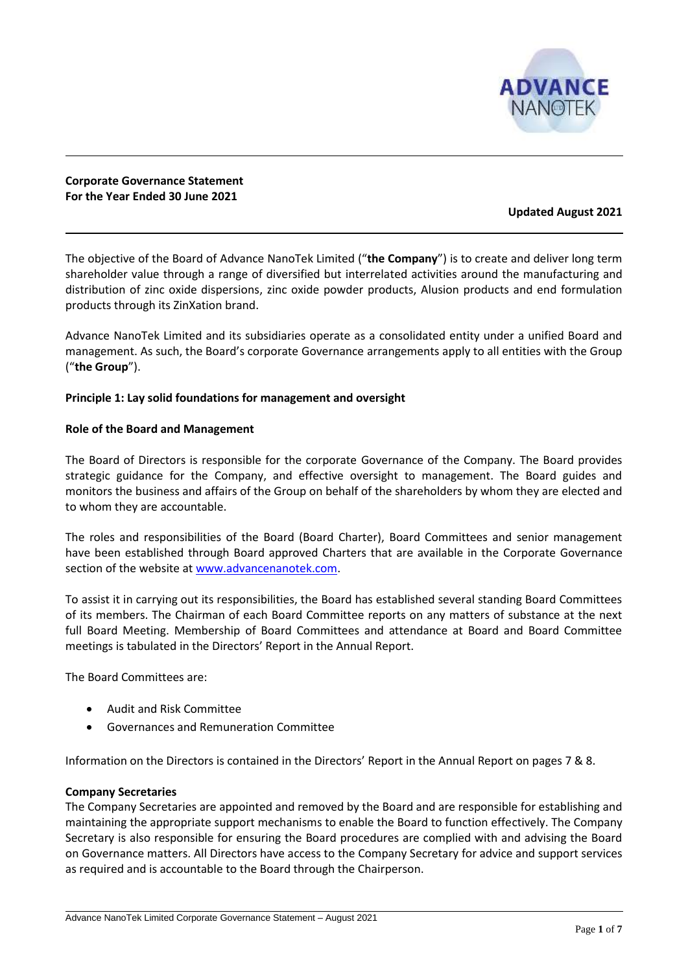

**Corporate Governance Statement For the Year Ended 30 June 2021**

## **Updated August 2021**

The objective of the Board of Advance NanoTek Limited ("**the Company**") is to create and deliver long term shareholder value through a range of diversified but interrelated activities around the manufacturing and distribution of zinc oxide dispersions, zinc oxide powder products, Alusion products and end formulation products through its ZinXation brand.

Advance NanoTek Limited and its subsidiaries operate as a consolidated entity under a unified Board and management. As such, the Board's corporate Governance arrangements apply to all entities with the Group ("**the Group**").

## **Principle 1: Lay solid foundations for management and oversight**

### **Role of the Board and Management**

The Board of Directors is responsible for the corporate Governance of the Company. The Board provides strategic guidance for the Company, and effective oversight to management. The Board guides and monitors the business and affairs of the Group on behalf of the shareholders by whom they are elected and to whom they are accountable.

The roles and responsibilities of the Board (Board Charter), Board Committees and senior management have been established through Board approved Charters that are available in the Corporate Governance section of the website at [www.advancenanotek.com.](http://www.advancenanotek.com/)

To assist it in carrying out its responsibilities, the Board has established several standing Board Committees of its members. The Chairman of each Board Committee reports on any matters of substance at the next full Board Meeting. Membership of Board Committees and attendance at Board and Board Committee meetings is tabulated in the Directors' Report in the Annual Report.

The Board Committees are:

- Audit and Risk Committee
- Governances and Remuneration Committee

Information on the Directors is contained in the Directors' Report in the Annual Report on pages 7 & 8.

### **Company Secretaries**

The Company Secretaries are appointed and removed by the Board and are responsible for establishing and maintaining the appropriate support mechanisms to enable the Board to function effectively. The Company Secretary is also responsible for ensuring the Board procedures are complied with and advising the Board on Governance matters. All Directors have access to the Company Secretary for advice and support services as required and is accountable to the Board through the Chairperson.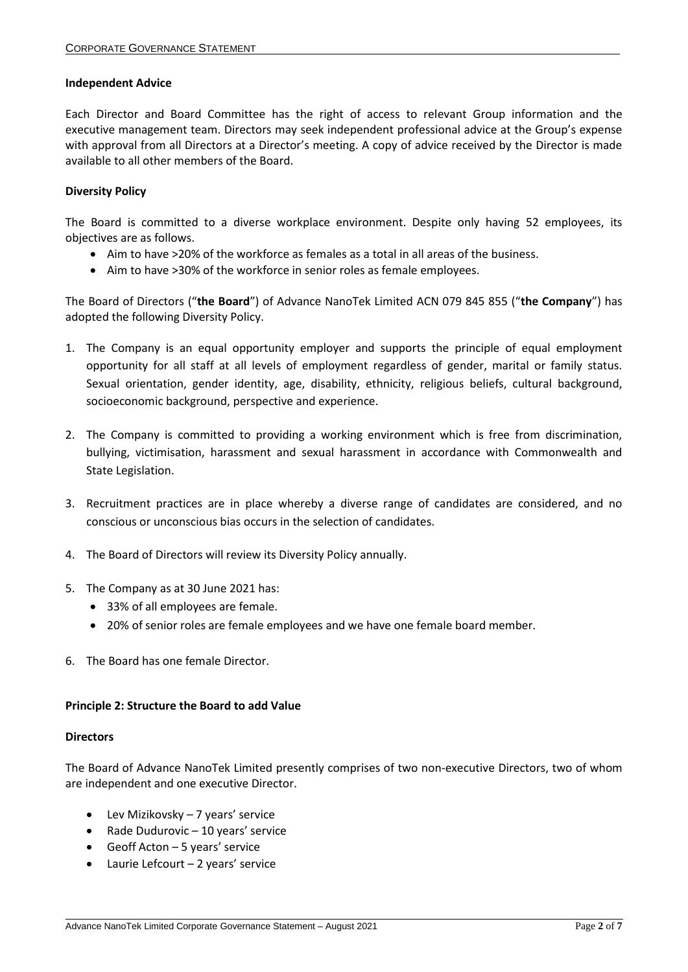#### **Independent Advice**

Each Director and Board Committee has the right of access to relevant Group information and the executive management team. Directors may seek independent professional advice at the Group's expense with approval from all Directors at a Director's meeting. A copy of advice received by the Director is made available to all other members of the Board.

## **Diversity Policy**

The Board is committed to a diverse workplace environment. Despite only having 52 employees, its objectives are as follows.

- Aim to have >20% of the workforce as females as a total in all areas of the business.
- Aim to have >30% of the workforce in senior roles as female employees.

The Board of Directors ("**the Board**") of Advance NanoTek Limited ACN 079 845 855 ("**the Company**") has adopted the following Diversity Policy.

- 1. The Company is an equal opportunity employer and supports the principle of equal employment opportunity for all staff at all levels of employment regardless of gender, marital or family status. Sexual orientation, gender identity, age, disability, ethnicity, religious beliefs, cultural background, socioeconomic background, perspective and experience.
- 2. The Company is committed to providing a working environment which is free from discrimination, bullying, victimisation, harassment and sexual harassment in accordance with Commonwealth and State Legislation.
- 3. Recruitment practices are in place whereby a diverse range of candidates are considered, and no conscious or unconscious bias occurs in the selection of candidates.
- 4. The Board of Directors will review its Diversity Policy annually.
- 5. The Company as at 30 June 2021 has:
	- 33% of all employees are female.
	- 20% of senior roles are female employees and we have one female board member.
- 6. The Board has one female Director.

### **Principle 2: Structure the Board to add Value**

#### **Directors**

The Board of Advance NanoTek Limited presently comprises of two non-executive Directors, two of whom are independent and one executive Director.

- Lev Mizikovsky 7 years' service
- Rade Dudurovic 10 years' service
- Geoff Acton 5 years' service
- Laurie Lefcourt 2 years' service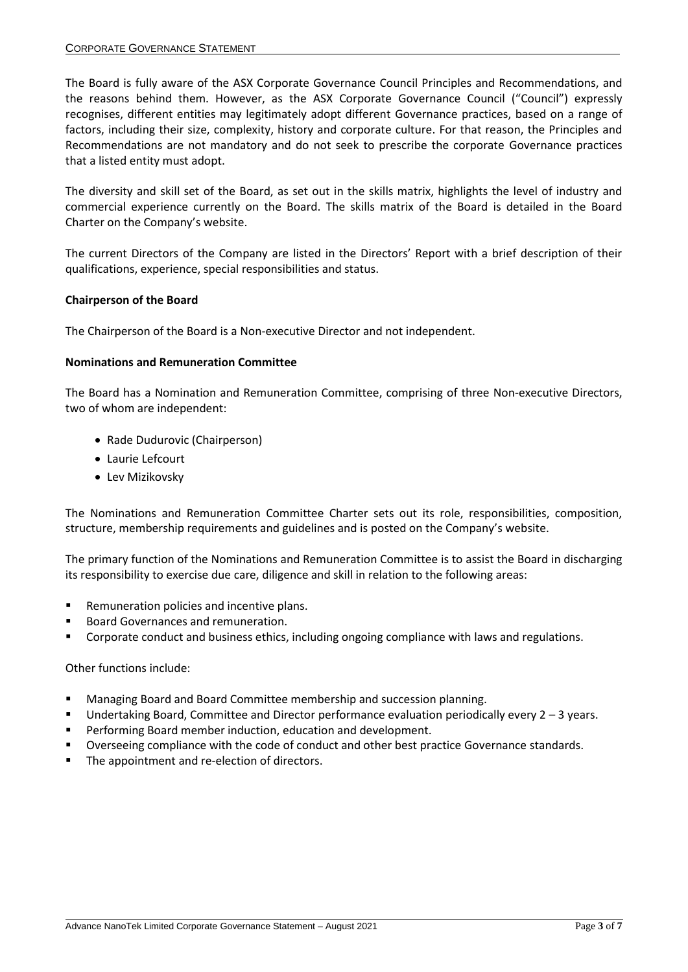The Board is fully aware of the ASX Corporate Governance Council Principles and Recommendations, and the reasons behind them. However, as the ASX Corporate Governance Council ("Council") expressly recognises, different entities may legitimately adopt different Governance practices, based on a range of factors, including their size, complexity, history and corporate culture. For that reason, the Principles and Recommendations are not mandatory and do not seek to prescribe the corporate Governance practices that a listed entity must adopt.

The diversity and skill set of the Board, as set out in the skills matrix, highlights the level of industry and commercial experience currently on the Board. The skills matrix of the Board is detailed in the Board Charter on the Company's website.

The current Directors of the Company are listed in the Directors' Report with a brief description of their qualifications, experience, special responsibilities and status.

### **Chairperson of the Board**

The Chairperson of the Board is a Non-executive Director and not independent.

### **Nominations and Remuneration Committee**

The Board has a Nomination and Remuneration Committee, comprising of three Non-executive Directors, two of whom are independent:

- Rade Dudurovic (Chairperson)
- Laurie Lefcourt
- Lev Mizikovsky

The Nominations and Remuneration Committee Charter sets out its role, responsibilities, composition, structure, membership requirements and guidelines and is posted on the Company's website.

The primary function of the Nominations and Remuneration Committee is to assist the Board in discharging its responsibility to exercise due care, diligence and skill in relation to the following areas:

- Remuneration policies and incentive plans.
- **Board Governances and remuneration.**
- Corporate conduct and business ethics, including ongoing compliance with laws and regulations.

### Other functions include:

- Managing Board and Board Committee membership and succession planning.
- Undertaking Board, Committee and Director performance evaluation periodically every 2 3 years.
- Performing Board member induction, education and development.
- Overseeing compliance with the code of conduct and other best practice Governance standards.
- The appointment and re-election of directors.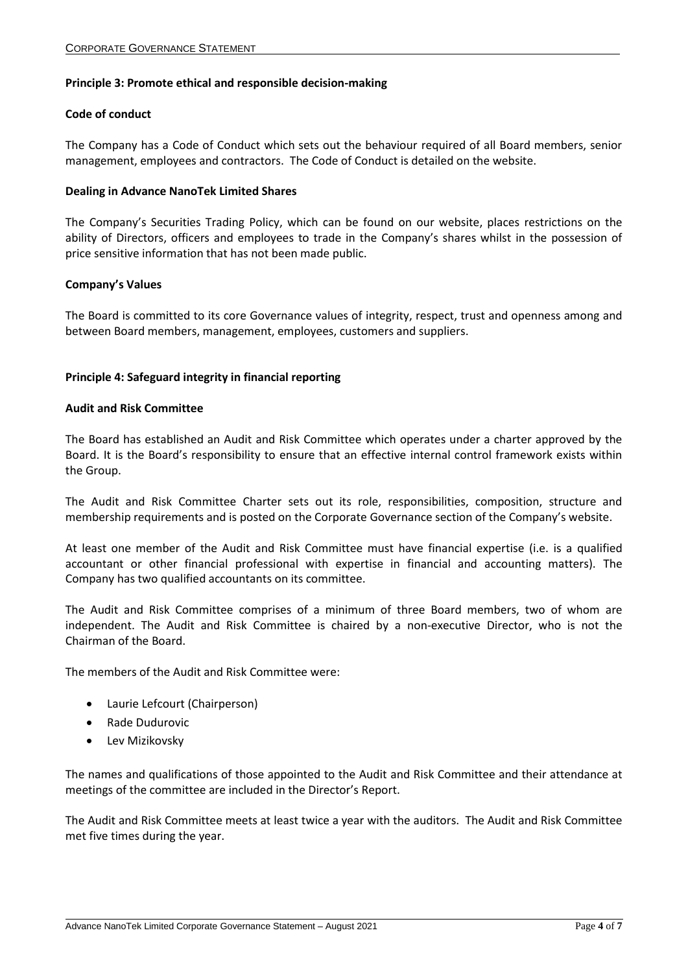### **Principle 3: Promote ethical and responsible decision-making**

### **Code of conduct**

The Company has a Code of Conduct which sets out the behaviour required of all Board members, senior management, employees and contractors. The Code of Conduct is detailed on the website.

#### **Dealing in Advance NanoTek Limited Shares**

The Company's Securities Trading Policy, which can be found on our website, places restrictions on the ability of Directors, officers and employees to trade in the Company's shares whilst in the possession of price sensitive information that has not been made public.

#### **Company's Values**

The Board is committed to its core Governance values of integrity, respect, trust and openness among and between Board members, management, employees, customers and suppliers.

### **Principle 4: Safeguard integrity in financial reporting**

#### **Audit and Risk Committee**

The Board has established an Audit and Risk Committee which operates under a charter approved by the Board. It is the Board's responsibility to ensure that an effective internal control framework exists within the Group.

The Audit and Risk Committee Charter sets out its role, responsibilities, composition, structure and membership requirements and is posted on the Corporate Governance section of the Company's website.

At least one member of the Audit and Risk Committee must have financial expertise (i.e. is a qualified accountant or other financial professional with expertise in financial and accounting matters). The Company has two qualified accountants on its committee.

The Audit and Risk Committee comprises of a minimum of three Board members, two of whom are independent. The Audit and Risk Committee is chaired by a non-executive Director, who is not the Chairman of the Board.

The members of the Audit and Risk Committee were:

- Laurie Lefcourt (Chairperson)
- Rade Dudurovic
- Lev Mizikovsky

The names and qualifications of those appointed to the Audit and Risk Committee and their attendance at meetings of the committee are included in the Director's Report.

The Audit and Risk Committee meets at least twice a year with the auditors. The Audit and Risk Committee met five times during the year.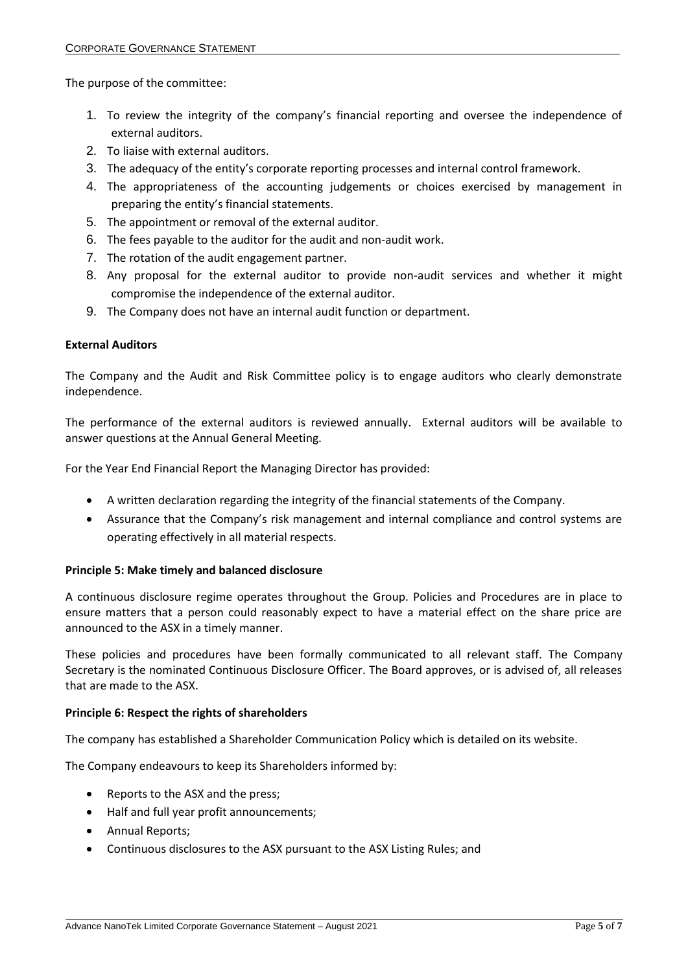The purpose of the committee:

- 1. To review the integrity of the company's financial reporting and oversee the independence of external auditors.
- 2. To liaise with external auditors.
- 3. The adequacy of the entity's corporate reporting processes and internal control framework.
- 4. The appropriateness of the accounting judgements or choices exercised by management in preparing the entity's financial statements.
- 5. The appointment or removal of the external auditor.
- 6. The fees payable to the auditor for the audit and non-audit work.
- 7. The rotation of the audit engagement partner.
- 8. Any proposal for the external auditor to provide non-audit services and whether it might compromise the independence of the external auditor.
- 9. The Company does not have an internal audit function or department.

## **External Auditors**

The Company and the Audit and Risk Committee policy is to engage auditors who clearly demonstrate independence.

The performance of the external auditors is reviewed annually. External auditors will be available to answer questions at the Annual General Meeting.

For the Year End Financial Report the Managing Director has provided:

- A written declaration regarding the integrity of the financial statements of the Company.
- Assurance that the Company's risk management and internal compliance and control systems are operating effectively in all material respects.

# **Principle 5: Make timely and balanced disclosure**

A continuous disclosure regime operates throughout the Group. Policies and Procedures are in place to ensure matters that a person could reasonably expect to have a material effect on the share price are announced to the ASX in a timely manner.

These policies and procedures have been formally communicated to all relevant staff. The Company Secretary is the nominated Continuous Disclosure Officer. The Board approves, or is advised of, all releases that are made to the ASX.

### **Principle 6: Respect the rights of shareholders**

The company has established a Shareholder Communication Policy which is detailed on its website.

The Company endeavours to keep its Shareholders informed by:

- Reports to the ASX and the press;
- Half and full year profit announcements;
- Annual Reports;
- Continuous disclosures to the ASX pursuant to the ASX Listing Rules; and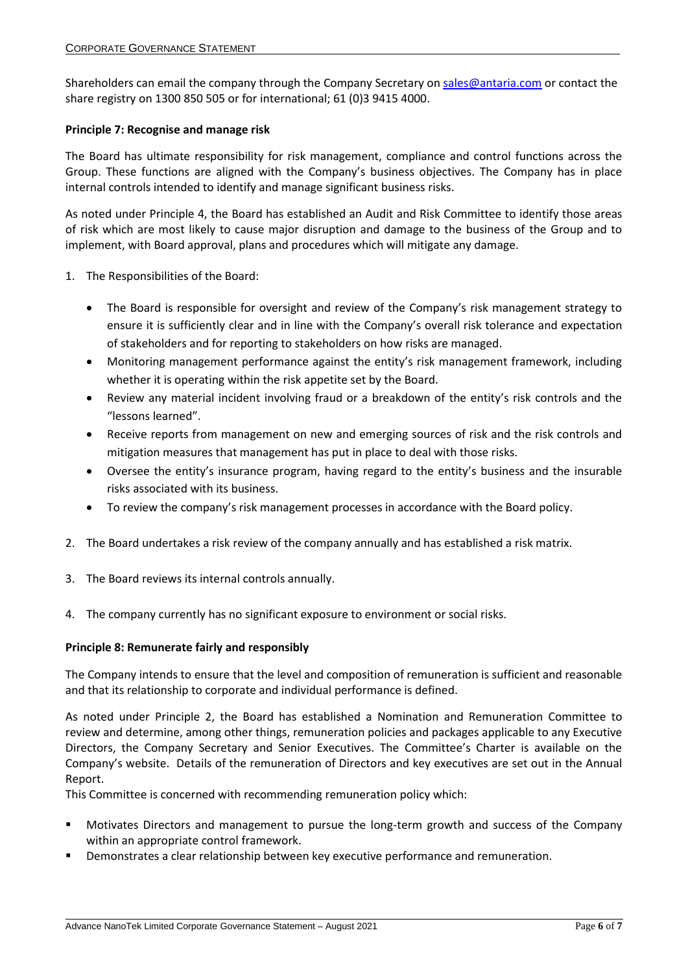Shareholders can email the company through the Company Secretary o[n sales@antaria.com](mailto:sales@antaria.com) or contact the share registry on 1300 850 505 or for international; 61 (0)3 9415 4000.

### **Principle 7: Recognise and manage risk**

The Board has ultimate responsibility for risk management, compliance and control functions across the Group. These functions are aligned with the Company's business objectives. The Company has in place internal controls intended to identify and manage significant business risks.

As noted under Principle 4, the Board has established an Audit and Risk Committee to identify those areas of risk which are most likely to cause major disruption and damage to the business of the Group and to implement, with Board approval, plans and procedures which will mitigate any damage.

- 1. The Responsibilities of the Board:
	- The Board is responsible for oversight and review of the Company's risk management strategy to ensure it is sufficiently clear and in line with the Company's overall risk tolerance and expectation of stakeholders and for reporting to stakeholders on how risks are managed.
	- Monitoring management performance against the entity's risk management framework, including whether it is operating within the risk appetite set by the Board.
	- Review any material incident involving fraud or a breakdown of the entity's risk controls and the "lessons learned".
	- Receive reports from management on new and emerging sources of risk and the risk controls and mitigation measures that management has put in place to deal with those risks.
	- Oversee the entity's insurance program, having regard to the entity's business and the insurable risks associated with its business.
	- To review the company's risk management processes in accordance with the Board policy.
- 2. The Board undertakes a risk review of the company annually and has established a risk matrix.
- 3. The Board reviews its internal controls annually.
- 4. The company currently has no significant exposure to environment or social risks.

### **Principle 8: Remunerate fairly and responsibly**

The Company intends to ensure that the level and composition of remuneration is sufficient and reasonable and that its relationship to corporate and individual performance is defined.

As noted under Principle 2, the Board has established a Nomination and Remuneration Committee to review and determine, among other things, remuneration policies and packages applicable to any Executive Directors, the Company Secretary and Senior Executives. The Committee's Charter is available on the Company's website. Details of the remuneration of Directors and key executives are set out in the Annual Report.

This Committee is concerned with recommending remuneration policy which:

- Motivates Directors and management to pursue the long-term growth and success of the Company within an appropriate control framework.
- **•** Demonstrates a clear relationship between key executive performance and remuneration.